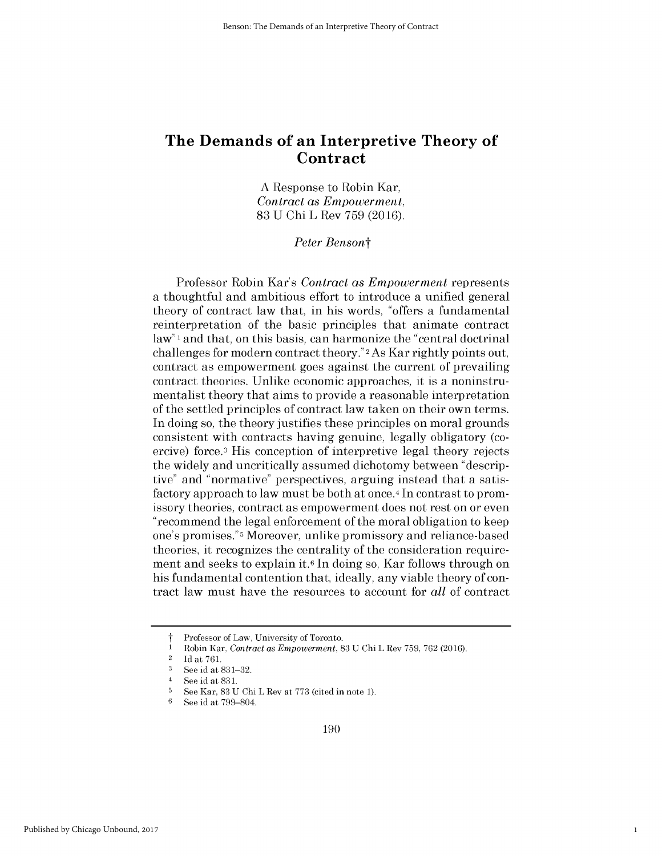**A** Response to Robin Kar, *Contract as Empowerment,* **83 U Chi** L Rev **759 (2016).**

*Peter Bensont*

Professor Robin Kar's *Contract as Empowerment represents* a thoughtful and ambitious effort to introduce a unified general theory of contract law that, in his words, "offers a fundamental reinterpretation of the basic principles that animate contract law"<sup>1</sup> and that, on this basis, can harmonize the "central doctrinal challenges for modern contract theory."2As Kar rightly points out, contract as empowerment goes against the current of prevailing contract theories. Unlike economic approaches, it is a noninstrumentalist theory that aims to provide a reasonable interpretation of the settled principles of contract law taken on their own terms. In doing so, the theory justifies these principles on moral grounds consistent with contracts having genuine, legally obligatory (coercive) force.3 His conception of interpretive legal theory rejects the widely and uncritically assumed dichotomy between "descriptive" and "normative" perspectives, arguing instead that a satisfactory approach to law must be both at once.<sup>4</sup> In contrast to promissory theories, contract as empowerment does not rest on or even "recommend the legal enforcement of the moral obligation to keep one's promises."5 Moreover, unlike promissory and reliance-based theories, it recognizes the centrality of the consideration requirement and seeks to explain **it.6** In doing so, Kar follows through on his fundamental contention that, ideally, any viable theory of contract law must have the resources to account for *all* of contract

1

Professor of Law, University of Toronto.

<sup>1</sup> Robin Kar, Contract as Empowerment, **83 U** Chi L Rev **759, 762 (2016).**

<sup>2</sup>**Id** at **761.**

**<sup>3</sup> See** id at **831-32.**

<sup>4</sup>**See** id at **831.**

**<sup>5</sup>**See Kar, **83 U** Chi L Rev at **773** (cited in note **1).**

**<sup>6</sup>See** id at **799-804.**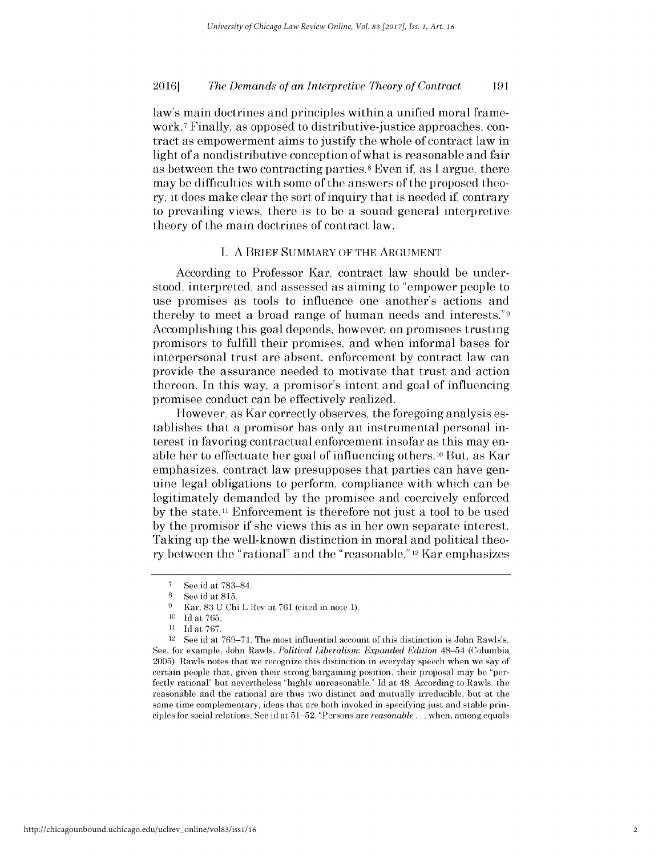law's main doctrines and principles within a unified moral framework.7 Finally, as opposed to distributive-justice approaches, contract as empowerment aims to justify the whole of contract law in light of a nondistributive conception of what is reasonable and fair as between the two contracting parties.8 Even **if,** as **I** argue, there may be difficulties with some of the answers of the proposed theory, it does make clear the sort of inquiry that is needed **if,** contrary to prevailing views, there is to be a sound general interpretive theory of the main doctrines of contract law.

### **I. A** BRIEF SUMMARY OF THE **ARGUMENT**

According to Professor Kar, contract law should be understood, interpreted, and assessed as aiming to "empower people to use promises as tools to influence one another's actions and thereby to meet a broad range of human needs and interests."9 Accomplishing this goal depends, however, on promisees trusting promisors to fulfill their promises, and when informal bases for interpersonal trust are absent, enforcement **by** contract law can provide the assurance needed to motivate that trust and action thereon. In this way, a promisor's intent and goal of influencing promisee conduct can be effectively realized.

However, as Kar correctly observes, the foregoing analysis establishes that a promisor has only an instrumental personal interest in favoring contractual enforcement insofar as this may enable her to effectuate her goal of influencing others.10 But, as Kar emphasizes, contract law presupposes that parties can have genuine legal obligations to perform, compliance with which can be legitimately demanded **by** the promisee and coercively enforced by the state.<sup>11</sup> Enforcement is therefore not just a tool to be used **by** the promisor **if** she views this as in her own separate interest. Taking up the well-known distinction in moral and political theory between the "rational" and the "reasonable," 12 Kar emphasizes

<sup>12</sup>**See** id at **769-71.** The most influential account of this distinction is John Rawls's. **See,** for example, John Rawls, *Political Liberalism: Expanded Edition* 48-54 (Columbia **2005).** Rawls notes that we recognize this distinction in everyday speech when we say of certain people that, given their strong bargaining position, their proposal may **be** "perfectly rational" but nevertheless **"highly** unreasonable." **Id** at 48. According to Rawls, the reasonable and the rational are thus two distinct and mutually irreducible, but at the same time complementary, ideas that are both invoked in specifying just and stable principles for social relations. **See** id at **51-52.** "Persons are *reasonable...* when, among equals

**<sup>7</sup>** See id at **783-84.**

**<sup>8</sup>See** id at **815.**

**<sup>9</sup>**Kar, **83 U** Chi L Rev at **761** (cited in note **1).**

**<sup>10</sup> Id** at **765.**

**<sup>11</sup> Id** at **767.**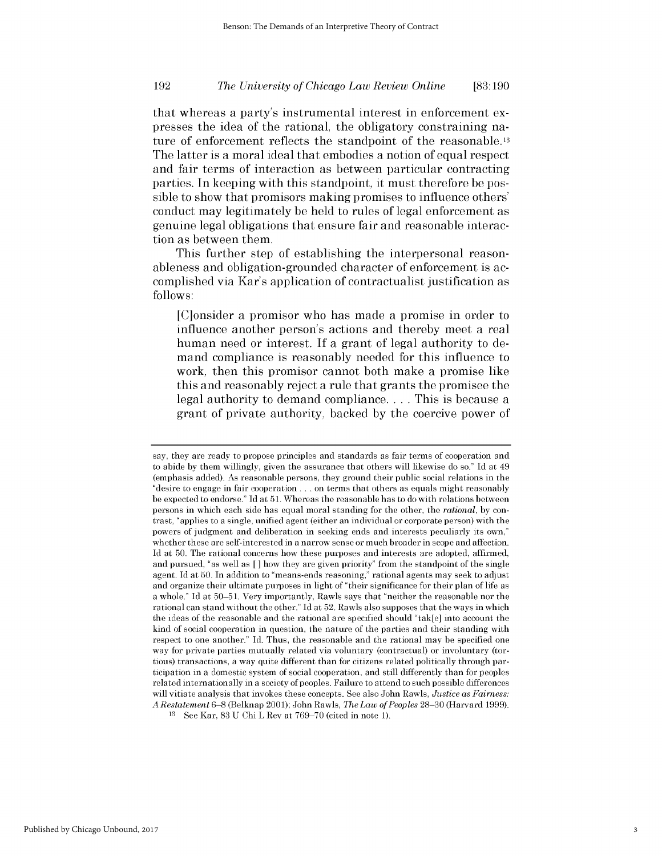# *The University of Chicago Law Review Online* **192 [83:190**

that whereas a party's instrumental interest in enforcement expresses the idea of the rational, the obligatory constraining nature of enforcement reflects the standpoint of the reasonable.13 The latter is a moral ideal that embodies a notion of equal respect and fair terms of interaction as between particular contracting parties. In keeping with this standpoint, it must therefore be possible to show that promisors making promises to influence others' conduct may legitimately be held to rules of legal enforcement as genuine legal obligations that ensure fair and reasonable interaction as between them.

This further step of establishing the interpersonal reasonableness and obligation-grounded character of enforcement is accomplished via Kar's application of contractualist justification as **follows:**

[C]onsider a promisor who has made a promise in order to influence another person's actions and thereby meet a real human need or interest. If a grant of legal authority to demand compliance is reasonably needed for this influence to work, then this promisor cannot both make a promise like this and reasonably reject a rule that grants the promisee the legal authority to demand compliance. . . **.** This is because a grant of private authority, backed **by** the coercive power of

say, they are ready to propose principles and standards as fair terms of cooperation and to abide **by** them willingly, given the assurance that others will likewise do so." **Id** at 49 (emphasis added). As reasonable persons, they ground their public social relations in the "desire to engage in fair cooperation **...** on terms that others as equals might reasonably **be** expected to endorse." **Id** at **51.** Whereas the reasonable has to do with relations between persons in which each side has equal moral standing for the other, the *rational,* **by** contrast, "applies to a single, unified agent (either an individual or corporate person) with the powers of judgment and deliberation in seeking ends and interests peculiarly its own," whether these are self-interested in a narrow sense or much broader in scope and affection. **Id** at **50.** The rational concerns how these purposes and interests are adopted, affirmed, and pursued, "as well as *[]* how they are given priority" from the standpoint of the single agent. **Id** at **50.** In addition to "means-ends reasoning," rational agents may seek to adjust and organize their ultimate purposes in light of "their significance for their plan of life as a whole." **Id** at **50-51.** Very importantly, Rawls says that "neither the reasonable nor the rational can stand without the other." **Id** at **52.** Rawls also supposes that the ways in which the ideas of the reasonable and the rational are specified should "tak[e] into account the kind of social cooperation in question, the nature of the parties and their standing with respect to one another." **Id.** Thus, the reasonable and the rational may **be** specified one way for private parties mutually related via voluntary (contractual) or involuntary (tortious) transactions, a way quite different than for citizens related politically through participation in a domestic system of social cooperation, and still differently than for peoples related internationally in a society of peoples. Failure to attend to such possible differences will vitiate analysis that invokes these concepts. **See** also John Rawls, *Justice as Fairness: A Restatement* **6-8** (Belknap 2001); John Rawls, *The Law of Peoples* **28-30** (Harvard **1999).**

**<sup>13</sup> See** Kar, **83 U** Chi L Rev at **769-70** (cited in note **1).**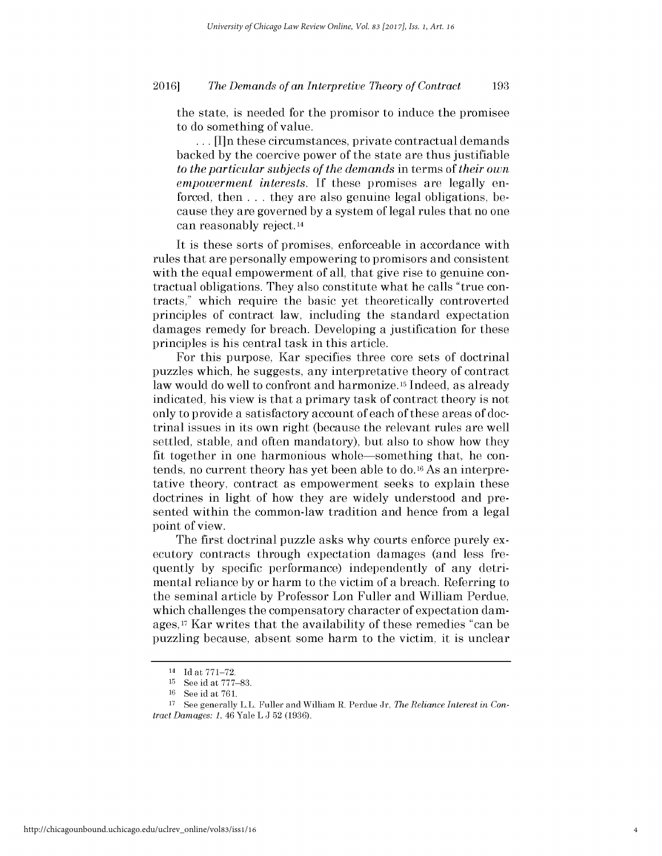the state, is needed for the promisor to induce the promisee to do something of value.

**..** . [I]n these circumstances, private contractual demands backed **by** the coercive power of the state are thus justifiable *to the particular subjects of the demands* in terms of *their own empowerment interests.* If these promises are legally enforced, then **.** . **.** they are also genuine legal obligations, because they are governed **by** a system of legal rules that no one can reasonably reject. <sup>14</sup>

It is these sorts of promises, enforceable in accordance with rules that are personally empowering to promisors and consistent with the equal empowerment of all, that give rise to genuine contractual obligations. They also constitute what he calls "true contracts," which require the basic yet theoretically controverted principles of contract law, including the standard expectation damages remedy for breach. Developing a justification for these principles is his central task in this article.

For this purpose, Kar specifies three core sets of doctrinal puzzles which, he suggests, any interpretative theory of contract law would do well to confront and harmonize **15** Indeed, as already indicated, his view is that a primary task of contract theory is not only to provide a satisfactory account of each of these areas of doctrinal issues in its own right (because the relevant rules are well settled, stable, and often mandatory), but also to show how they fit together in one harmonious whole-something that, he contends, no current theory has yet been able to do.16 As an interpretative theory, contract as empowerment seeks to explain these doctrines in light of how they are widely understood and presented within the common-law tradition and hence from a legal point of view.

The first doctrinal puzzle asks why courts enforce purely executory contracts through expectation damages (and less frequently **by** specific performance) independently of any detrimental reliance **by** or harm to the victim of a breach. Referring to the seminal article **by** Professor Lon Fuller and William Perdue, which challenges the compensatory character of expectation damages, <sup>17</sup>Kar writes that the availability of these remedies "can be puzzling because, absent some harm to the victim, it is unclear

<sup>14</sup>**Id** at **771-72.**

**<sup>15</sup> See** id at **777-83.**

<sup>&</sup>lt;sup>16</sup> See id at 761.

**<sup>17</sup>** See generally L.L. Fuller and William R. Perdue Jr, *The Reliance Interest in Contract Damages:* **1,** 46 Yale L **J 52 (1936).**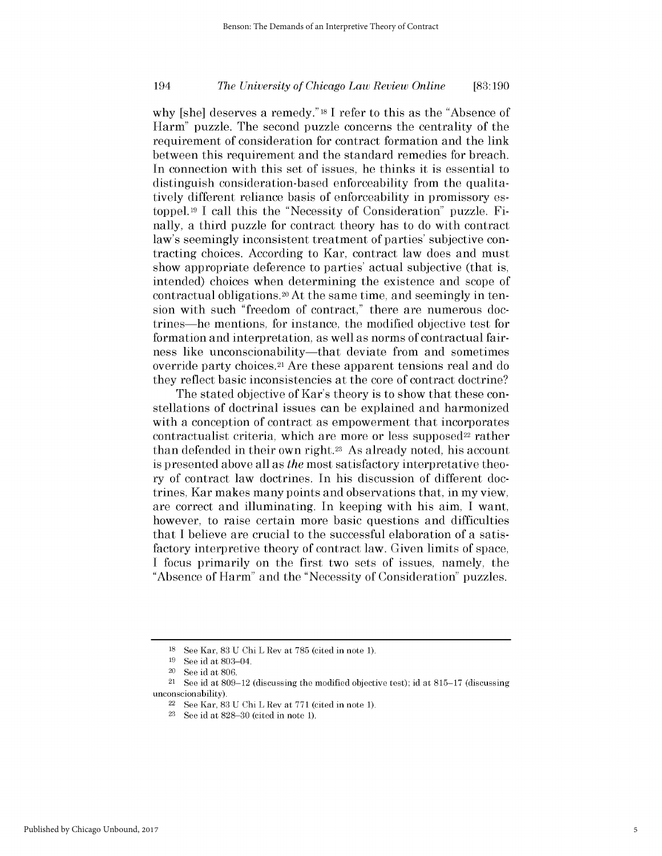# *The University of Chicago Law Review Online* 194 **[83:190**

why [she] deserves a remedy." **18** I refer *to* this as the "Absence of Harm" puzzle. The second puzzle concerns the centrality of the requirement of consideration for contract formation and the link between this requirement and the standard remedies for breach. In connection with this set of issues, he thinks it is essential to distinguish consideration-based enforceability from the qualitatively different reliance basis of enforceability in promissory estoppel.19 **I** call this the "Necessity of Consideration" puzzle. Finally, a third puzzle for contract theory has to do with contract law's seemingly inconsistent treatment of parties' subjective contracting choices. According to Kar, contract law does and must show appropriate deference to parties' actual subjective (that **is,** intended) choices when determining the existence and scope of contractual obligations.20 At the same time, and seemingly in tension with such "freedom of contract," there are numerous doctrines-he mentions, for instance, the modified objective test for formation and interpretation, as well as norms of contractual fairness like unconscionability—that deviate from and sometimes override party choices.21 Are these apparent tensions real and do they reflect basic inconsistencies at the core of contract doctrine?

The stated objective of Kar's theory is to show that these constellations of doctrinal issues can be explained and harmonized with a conception of contract as empowerment that incorporates contractualist criteria, which are more or less supposed<sup>22</sup> rather than defended in their own right.23 As already noted, his account is presented above all as *the* most satisfactory interpretative theory of contract law doctrines. In his discussion of different doctrines, Kar makes many points and observations that, in my view, are correct and illuminating. In keeping with his aim, **I** want, however, to raise certain more basic questions and difficulties that **I** believe are crucial to the successful elaboration of a satisfactory interpretive theory of contract law. Given limits of space, **I** focus primarily on the first two sets of issues, namely, the "Absence of Harm" and the "Necessity of Consideration" puzzles.

**<sup>18</sup>**See Kar, **83 U** Chi L Rev at **785** (cited in note **1).**

**<sup>19</sup>See** id at 803-04.

<sup>20</sup>**See** id at **806.**

<sup>21</sup>**See** id at **809-12** (discussing the modified objective test); id at **815-17** (discussing unconscionability).

<sup>22</sup>**See** Kar, **83 U** Chi L Rev at **771** (cited in note **1).**

**<sup>23</sup>See** id at **828-30** (cited in note **1).**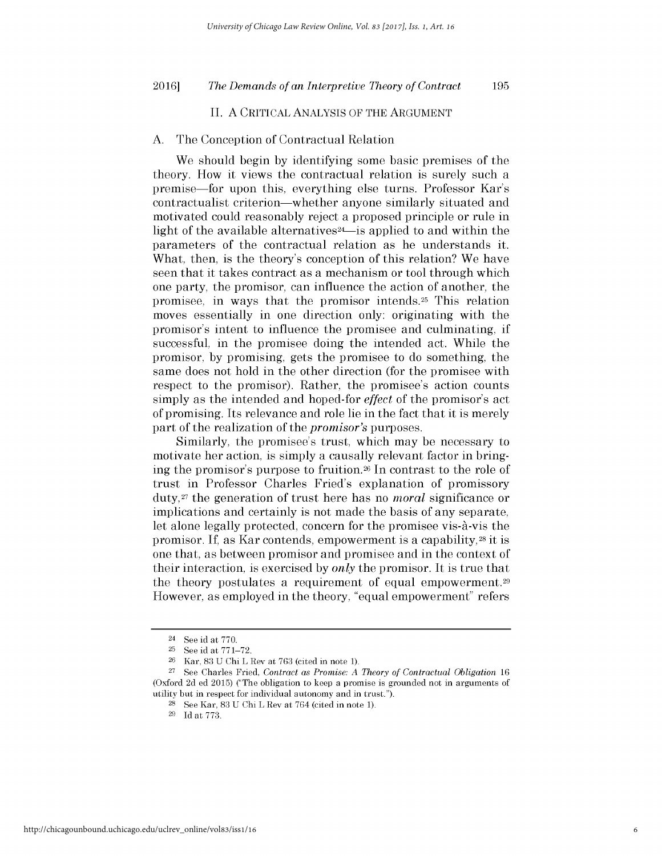**195**

# **II. A** CRITICAL **ANALYSIS** OF THE **ARGUMENT**

### **A.** The Conception of Contractual Relation

We should begin **by** identifying some basic premises of the theory. How it views the contractual relation is surely such a premise-for upon this, everything else turns. Professor Kar's contractualist criterion-whether anyone similarly situated and motivated could reasonably reject a proposed principle or rule in light of the available alternatives<sup>24</sup>-is applied to and within the parameters of the contractual relation as he understands it. What, then, is the theory's conception of this relation? We have seen that it takes contract as a mechanism or tool through which one party, the promisor, can influence the action of another, the promisee, in ways that the promisor intends.25 This relation moves essentially in one direction only: originating with the promisor's intent to influence the promisee and culminating, **if** successful, in the promisee doing the intended act. While the promisor, **by** promising, gets the promisee to do something, the same does not hold in the other direction (for the promisee with respect to the promisor). Rather, the promisee's action counts simply as the intended and hoped-for *effect* of the promisor's act of promising. Its relevance and role lie in the fact that it is merely part of the realization of the *promisor's* purposes.

Similarly, the promisee's trust, which may be necessary to motivate her action, is simply a causally relevant factor in bringing the promisor's purpose to **fruition.26** In contrast to the role of trust in Professor Charles Fried's explanation of promissory **duty,27** the generation of trust here has no *moral* significance or implications and certainly is not made the basis of any separate, let alone legally protected, concern for the promisee vis- $\hat{a}$ -vis the promisor. **If,** as Kar contends, empowerment is a capability, 28 it **is** one that, as between promisor and promisee and in the context of their interaction, is exercised **by** *only* the promisor. It is true that the theory postulates a requirement of equal empowerment.<sup>29</sup> However, as employed in the theory, "equal empowerment" refers

<sup>24</sup>See id at **770.**

**<sup>25</sup>See** id at **771-72.**

**<sup>26</sup>**Kar, **83 U** Chi L Rev at **763** (cited in note **1).**

**<sup>27</sup>**See Charles Fried, *Contract as Promise: A Theory of Contractual Obligation <sup>16</sup>* (Oxford **2d ed 2015)** ("The obligation to **keep** a promise is grounded not in arguments of utility but in respect for individual autonomy and in trust.").

**<sup>28</sup>**See Kar, **83 U** Chi L Rev at 764 (cited in note **1).**

**<sup>29</sup>Id** at **773.**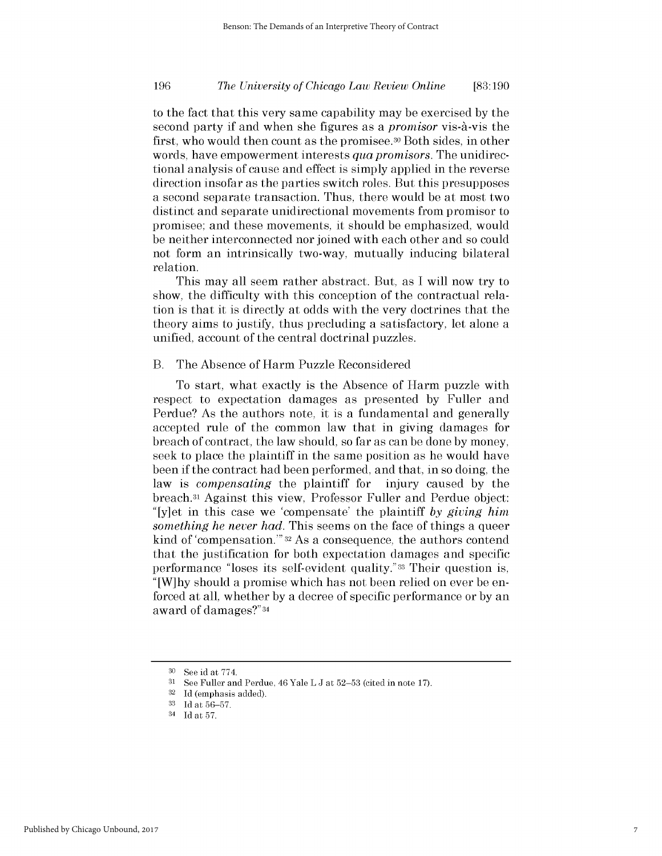# *The University of Chicago Law Review Online* **196 [83:190**

to the fact that this very same capability may be exercised **by** the second party **if** and when she figures as a *promisor* vis-A-vis the first, who would then count as the promisee.30 Both sides, in other words, have empowerment interests *qua promisors.* The unidirectional analysis of cause and effect is simply applied in the reverse direction insofar as the parties switch roles. But this presupposes a second separate transaction. Thus, there would be at most two distinct and separate unidirectional movements from promisor to promisee; and these movements, it should be emphasized, would be neither interconnected nor joined with each other and so could not form an intrinsically two-way, mutually inducing bilateral relation.

This may all seem rather abstract. But, as **I** will now try to show, the difficulty with this conception of the contractual relation is that it is directly at odds with the very doctrines that the theory aims to justify, thus precluding a satisfactory, let alone a unified, account of the central doctrinal puzzles.

### B. The Absence of Harm Puzzle Reconsidered

To start, what exactly is the Absence of Harm puzzle with respect to expectation damages as presented **by** Fuller and Perdue? As the authors note, it is a fundamental and generally accepted rule of the common law that in giving damages for breach of contract, the law should, so far as can be done **by** money, seek to place the plaintiff in the same position as he would have been **if** the contract had been performed, and that, in so doing, the law is *compensating* the plaintiff for injury caused **by** the breach.31 Against this view, Professor Fuller and Perdue object: "[y]et in this case we 'compensate' the plaintiff *by giving him something he never had.* This seems on the face of things a queer kind of 'compensation."' **32** As a consequence, the authors contend that the justification for both expectation damages and specific performance "loses its self-evident quality."33 Their question **is, "** [W]hy should a promise which has not been relied on ever be enforced at all, whether **by** a decree of specific performance or **by** an award of damages?"34

**<sup>30</sup>**See id at **774.**

**<sup>31</sup> See** Fuller and Perdue, 46 Yale L **J** at **52-53** (cited in note **17).**

**<sup>32</sup>Id** (emphasis added).

**<sup>33</sup> Id** at **56-57.**

<sup>34</sup>**Id** at **57.**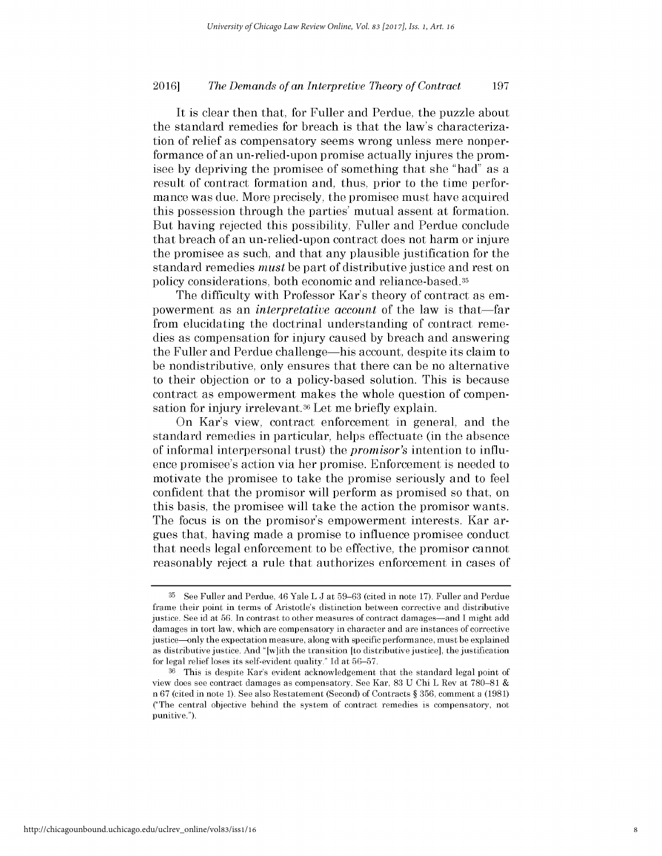It is clear then that, for Fuller and Perdue, the puzzle about the standard remedies for breach is that the law's characterization of relief as compensatory seems wrong unless mere nonperformance of an un-relied-upon promise actually injures the promisee **by** depriving the promisee of something that she "had" as a result of contract formation and, thus, prior to the time performance was due. More precisely, the promisee must have acquired this possession through the parties' mutual assent at formation. But having rejected this possibility, Fuller and Perdue conclude that breach of an un-relied-upon contract does not harm or injure the promisee as such, and that any plausible justification for the standard remedies *must* be part of distributive justice and rest on policy considerations, both economic and reliance-based.35

The difficulty with Professor Kar's theory of contract as empowerment as an *interpretative account* of the law is that-far from elucidating the doctrinal understanding of contract remedies as compensation for injury caused **by** breach and answering the Fuller and Perdue challenge-his account, despite its claim to be nondistributive, only ensures that there can be no alternative to their objection or to a policy-based solution. This is because contract as empowerment makes the whole question of compensation for injury irrelevant.<sup>36</sup> Let me briefly explain.

On Kar's view, contract enforcement in general, and the standard remedies in particular, helps effectuate (in the absence of informal interpersonal trust) the *promisor's* intention to influence promisee's action via her promise. Enforcement is needed to motivate the promisee to take the promise seriously and to feel confident that the promisor will perform as promised so that, on this basis, the promisee will take the action the promisor wants. The focus is on the promisor's empowerment interests. Kar argues that, having made a promise to influence promisee conduct that needs legal enforcement to be effective, the promisor cannot reasonably reject a rule that authorizes enforcement in cases of

**<sup>35</sup>**See Fuller and Perdue, 46 Yale L **J** at **59-63** (cited in note **17).** Fuller and Perdue frame their point in terms of Aristotle's distinction between corrective and distributive justice. **See** id at **56.** In contrast to other measures of contract damages-and **I** might add damages in tort law, which are compensatory in character and are instances of corrective justice-only the expectation measure, along with specific performance, must **be** explained as distributive justice. And "[w]ith the transition [to distributive justice], the justification for legal relief loses its self-evident quality." **Id** at **56-57.**

**<sup>36</sup>**This is despite Kar's evident acknowledgement that the standard legal point of view does see contract damages as compensatory. **See** Kar, **83 U** Chi L Rev at **780-81**  n **67** (cited in note **1). See** also Restatement (Second) of Contracts *§* **356,** comment a **(1981)** ("The central objective behind the system of contract remedies is compensatory, not punitive.").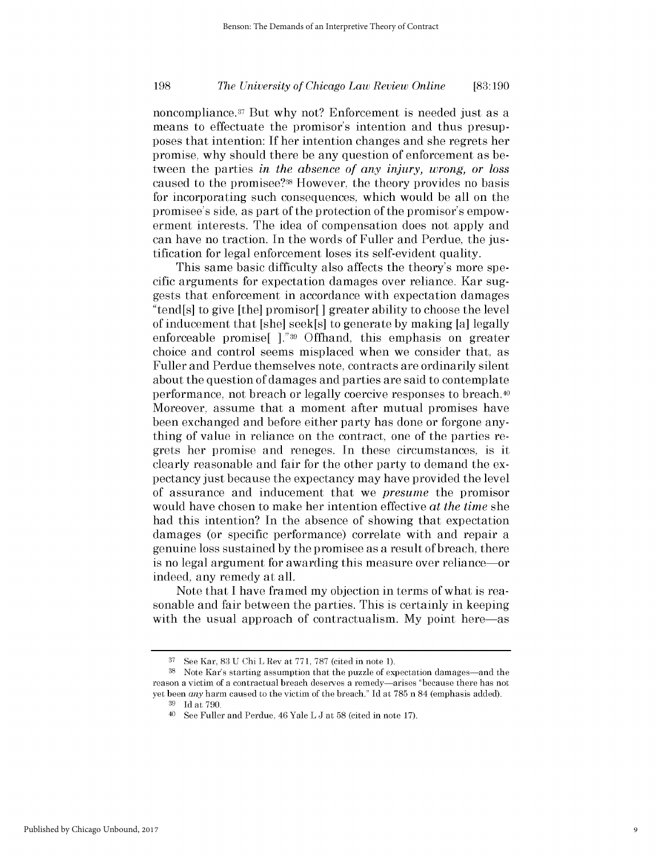# *The University of Chicago Law Review Online* **198 [83:190**

noncompliance.<sup>37</sup> But why not? Enforcement is needed just as a means to effectuate the promisor's intention and thus presupposes that intention: **If** her intention changes and she regrets her promise, why should there be any question of enforcement as between the parties *in the absence of any injury, wrong, or loss* caused to the promisee?38 However, the theory provides no basis for incorporating such consequences, which would be all on the promisee's side, as part of the protection of the promisor's empowerment interests. The idea of compensation does not apply and can have no traction. In the words of Fuller and Perdue, the **jus**tification for legal enforcement loses its self-evident quality.

This same basic difficulty also affects the theory's more specific arguments for expectation damages over reliance. Kar suggests that enforcement in accordance with expectation damages "tend[s] to give [the] promisor[] greater ability to choose the level of inducement that [she] seek[s] to generate **by** making [a] legally enforceable promise[ **]."39** Offhand, this emphasis on greater choice and control seems misplaced when we consider that, as Fuller and Perdue themselves note, contracts are ordinarily silent about the question of damages and parties are said to contemplate performance, not breach or legally coercive responses to breach.40 Moreover, assume that a moment after mutual promises have been exchanged and before either party has done or forgone anything of value in reliance on the contract, one of the parties regrets her promise and reneges. In these circumstances, is it clearly reasonable and fair for the other party to demand the expectancy just because the expectancy may have provided the level of assurance and inducement that we *presume* the promisor would have chosen to make her intention effective at *the time she* had this intention? In the absence of showing that expectation damages (or specific performance) correlate with and repair a genuine loss sustained **by** the promisee as a result of breach, there is no legal argument for awarding this measure over reliance-or indeed, any remedy at all.

Note that **I** have framed my objection in terms of what is reasonable and fair between the parties. This is certainly in keeping with the usual approach of contractualism. My point here—as

**<sup>37</sup>**See Kar, **83 U** Chi L Rev at **771, 787** (cited in note **1).**

<sup>&</sup>lt;sup>38</sup> Note Kar's starting assumption that the puzzle of expectation damages—and the reason a victim of a contractual breach deserves a remedy-arises "because there has not yet been *any* harm caused to the victim of the breach." **Id** at **785** n 84 (emphasis added).

**<sup>39</sup>Id** at **790.**

<sup>40</sup>See Fuller and Perdue, 46 Yale L **J** at **58** (cited in note **17).**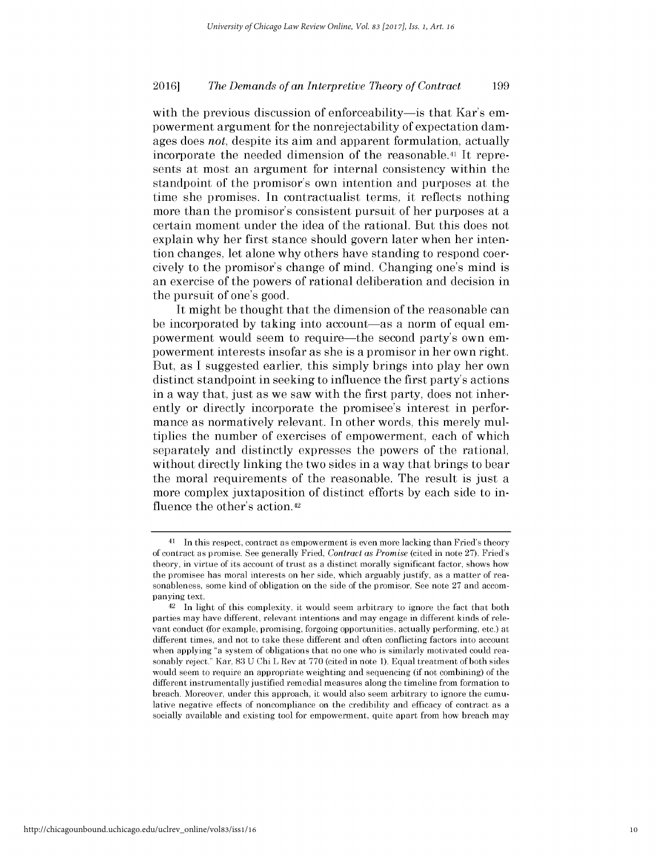with the previous discussion of enforceability—is that Kar's empowerment argument for the nonrejectability of expectation damages does *not,* despite its aim and apparent formulation, actually incorporate the needed dimension of the reasonable.41 It represents at most an argument for internal consistency within the standpoint of the promisor's own intention and purposes at the time she promises. In contractualist terms, it reflects nothing more than the promisor's consistent pursuit of her purposes at a certain moment under the idea of the rational. But this does not explain why her first stance should govern later when her intention changes, let alone why others have standing to respond coercively to the promisor's change of mind. Changing one's mind **is** an exercise of the powers of rational deliberation and decision in the pursuit of one's good.

It might be thought that the dimension of the reasonable can be incorporated by taking into account—as a norm of equal empowerment would seem to require-the second party's own empowerment interests insofar as she is a promisor in her own right. But, as **I** suggested earlier, this simply brings into play her own distinct standpoint in seeking to influence the first party's actions in a way that, just as we saw with the first party, does not inherently or directly incorporate the promisee's interest in performance as normatively relevant. In other words, this merely multiplies the number of exercises of empowerment, each of which separately and distinctly expresses the powers of the rational, without directly linking the two sides in a way that brings to bear the moral requirements of the reasonable. The result is just a more complex juxtaposition of distinct efforts **by** each side to influence the other's action.42

<sup>41</sup> In this respect, contract as empowerment is even more lacking than Fried's theory of contract as promise. **See** generally Fried, *Contract as Promise* (cited in note **27).** Fried's theory, in virtue of its account of trust as a distinct morally significant factor, shows how the promisee has moral interests on her side, which arguably justify, as a matter of reasonableness, some kind of obligation on the side of the promisor. **See** note **27** and accompanying text.

<sup>42</sup> In light of this complexity, **it** would seem arbitrary to ignore the fact that both parties may have different, relevant intentions and may engage in different kinds of relevant conduct (for example, promising, forgoing opportunities, actually performing, etc.) at different times, and not to take these different and often conflicting factors into account when applying "a system of obligations that no one who is similarly motivated could reasonably reject." Kar, **83 U** Chi L Rev at **770** (cited in note **1).** Equal treatment of both sides would seem to require an appropriate weighting and sequencing (if not combining) of the different instrumentally justified remedial measures along the timeline from formation to breach. Moreover, under this approach, **it** would also seem arbitrary to ignore the cumulative negative effects of noncompliance on the credibility and efficacy of contract as a socially available and existing tool for empowerment, quite apart from how breach may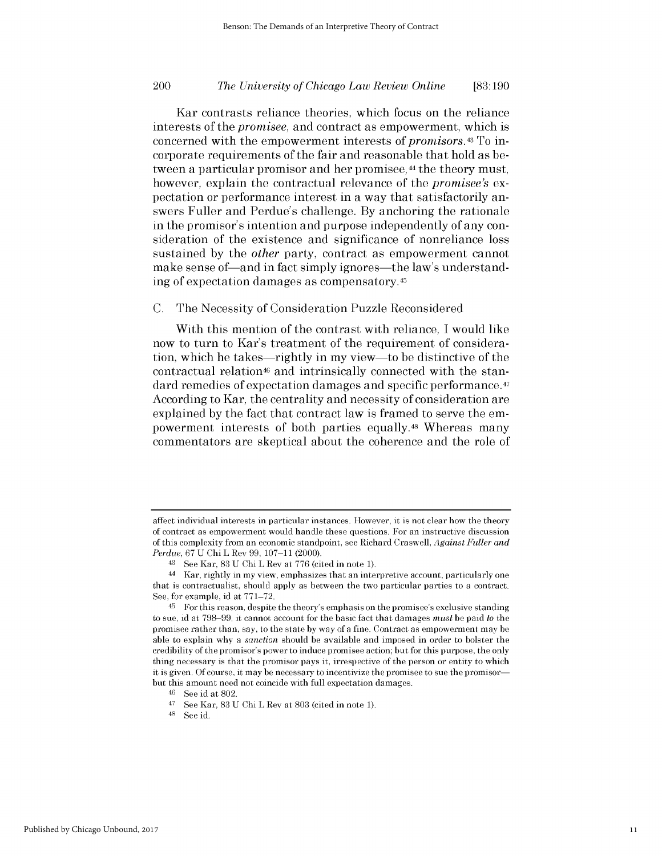# *The University of Chicago Law Review Online* 200 **[83:190**

Kar contrasts reliance theories, which focus on the reliance interests of the *promisee,* and contract as empowerment, which **is** concerned with the empowerment interests of *promisors.43 To* incorporate requirements of the fair and reasonable that hold as between a particular promisor and her promisee,<sup>44</sup> the theory must, however, explain the contractual relevance of the *promisee's ex*pectation or performance interest in a way that satisfactorily answers Fuller and Perdue's challenge. **By** anchoring the rationale in the promisor's intention and purpose independently of any consideration of the existence and significance of nonreliance loss sustained **by** the *other* party, contract as empowerment cannot make sense of—and in fact simply ignores—the law's understanding of expectation damages as compensatory. <sup>45</sup>

**C.** The Necessity of Consideration Puzzle Reconsidered

With this mention of the contrast with reliance, **I** would like now to turn to Kar's treatment of the requirement of consideration, which he takes-rightly in my view-to be distinctive of the contractual relation46 and intrinsically connected with the standard remedies of expectation damages and specific performance.47 According to Kar, the centrality and necessity of consideration are explained **by** the fact that contract law is framed to serve the empowerment interests of both parties equally.48 Whereas many commentators are skeptical about the coherence and the role of

affect individual interests in particular instances. However, **it** is not clear how the theory of contract as empowerment would handle these questions. For an instructive discussion of this complexity from an economic standpoint, see Richard Craswell, *Against Fuller and Perdue,* **67 U** Chi L Rev **99, 107-11** (2000).

**<sup>43</sup> See** Kar, **83 U** Chi L Rev at **776** (cited in note **1).**

<sup>44</sup> Kar, rightly in my view, emphasizes that an interpretive account, particularly one that is contractualist, should apply as between the two particular parties to a contract. **See,** for example, id at **771-72.**

**<sup>45</sup>**For this reason, despite the theory's emphasis on the promisee's exclusive standing to sue, id at **798-99, it** cannot account for the basic fact that damages *must* **be** paid *to* the promisee rather than, say, to the state **by** way of a fine. Contract as empowerment may **be** able to explain why a *sanction* should **be** available and imposed in order to bolster the credibility of the promisor's power to induce promisee action; but for this purpose, the only thing necessary is that the promisor pays **it,** irrespective of the person or entity to which **it** is given. **Of** course, **it** may **be** necessary to incentivize the promisee to sue the promisorbut this amount need not coincide with full expectation damages.

**<sup>46</sup>See** id at **802.**

<sup>47</sup>**See** Kar, **83 U** Chi L Rev at **803** (cited in note **1).**

**<sup>48</sup>See** id.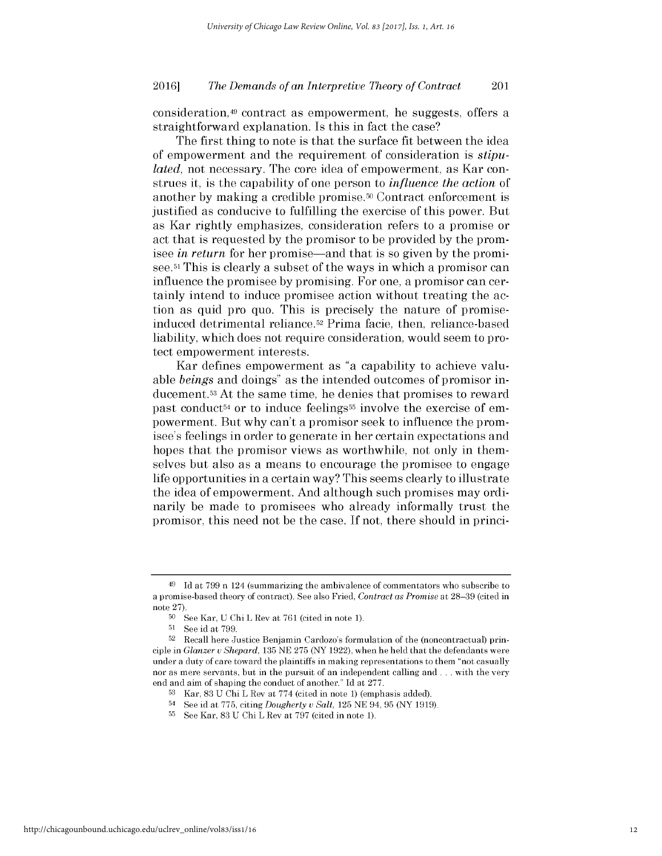consideration,49 contract as empowerment, he suggests, offers a straightforward explanation. Is this in fact the case?

The first thing to note is that the surface fit between the idea of empowerment and the requirement of consideration *is stipulated,* not necessary. The core idea of empowerment, as Kar construes it, is the capability of one person to *influence the action* of another by making a credible promise.<sup>50</sup> Contract enforcement is justified as conducive to fulfilling the exercise of this power. But as Kar rightly emphasizes, consideration refers to a promise or act that is requested **by** the promisor to be provided **by** the promisee *in return* for her promise-and that is so given **by** the promisee.<sup>51</sup> This is clearly a subset of the ways in which a promisor can influence the promisee **by** promising. For one, a promisor can certainly intend to induce promisee action without treating the action as quid pro quo. This is precisely the nature of promiseinduced detrimental reliance.52 Prima facie, then, reliance-based liability, which does not require consideration, would seem to protect empowerment interests.

Kar defines empowerment as "a capability to achieve valuable *beings* and doings" as the intended outcomes of promisor inducement.53 At the same time, he denies that promises to reward past conduct<sup>54</sup> or to induce feelings<sup>55</sup> involve the exercise of empowerment. But why can't a promisor seek to influence the promisee's feelings in order to generate in her certain expectations and hopes that the promisor views as worthwhile, not only in themselves but also as a means to encourage the promisee to engage life opportunities in a certain way? This seems clearly to illustrate the idea of empowerment. And although such promises may ordinarily be made to promisees who already informally trust the promisor, this need not be the case. **If** not, there should in princi-

<sup>49</sup>**Id** at **799** n 124 (summarizing the ambivalence of commentators who subscribe to a promise-based theory of contract). **See** also Fried, *Contract as Promise* at **28-39** (cited in note **27).**

**<sup>50</sup>See** Kar, **U** Chi L Rev at **761** (cited in note **1).**

**<sup>51</sup>See** id at **799.**

**<sup>52</sup>** Recall here Justice Benjamin Cardozo's formulation of the (noncontractual) principle in *Glanzer u Shepard,* **135 NE 275** (NY **1922),** when he **held** that the defendants were under a duty of care toward the plaintiffs in making representations to them "not casually nor as mere servants, but in the pursuit of an independent calling and **.** . **.** with the very end and aim of shaping the conduct of another." **Id** at **277.**

**<sup>53</sup>**Kar, **83 U** Chi L Rev at **774** (cited in note **1)** (emphasis added).

<sup>54</sup>See id at **775,** citing *Dougherty u Salt,* **125 NE** 94, **95** (NY **1919).**

**<sup>55</sup>**See Kar, **83 U** Chi L Rev at **797** (cited in note **1).**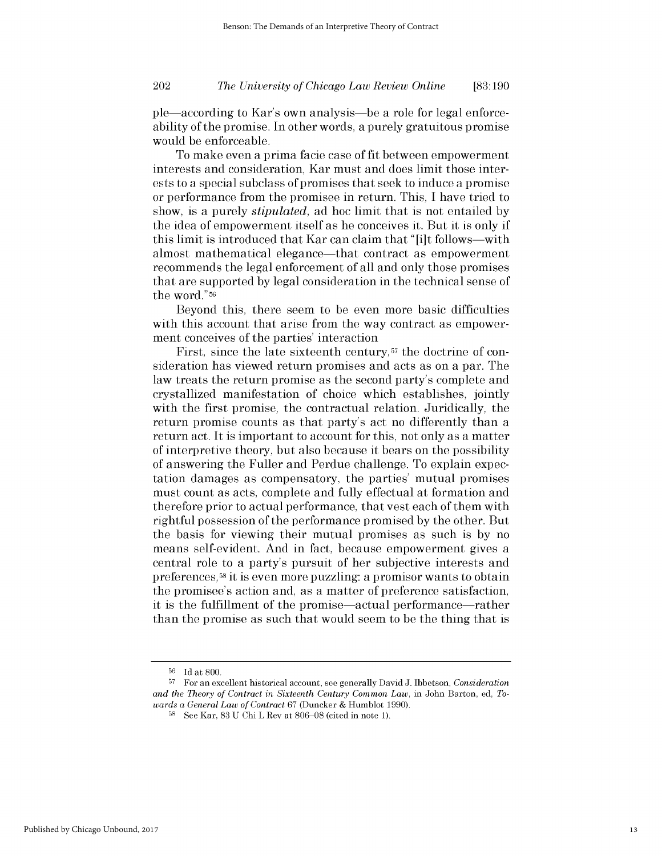# *The University of Chicago Law Review Online* 202 **[83:190**

ple-according *to* Kar's own analysis-be a role for legal enforceability of the promise. In other words, a purely gratuitous promise would be enforceable.

To make even a prima facie case of fit between empowerment interests and consideration, Kar must and does limit those interests to a special subclass of promises that seek to induce a promise or performance from the promisee in return. This, **I** have tried to show, is a purely *stipulated,* ad hoc limit that is not entailed **by** the idea of empowerment itself as he conceives it. But it is only **if** this limit is introduced that Kar can claim that **"** [i]t follows-with almost mathematical elegance—that contract as empowerment recommends the legal enforcement of all and only those promises that are supported **by** legal consideration in the technical sense of the word." <sup>56</sup>

Beyond this, there seem to be even more basic difficulties with this account that arise from the way contract as empowerment conceives of the parties' interaction

First, since the late sixteenth century,<sup>57</sup> the doctrine of consideration has viewed return promises and acts as on a par. The law treats the return promise as the second party's complete and crystallized manifestation of choice which establishes, jointly with the first promise, the contractual relation. Juridically, the return promise counts as that party's act no differently than a return act. It is important to account for this, not only as a matter of interpretive theory, but also because it bears on the possibility of answering the Fuller and Perdue challenge. To explain expectation damages as compensatory, the parties' mutual promises must count as acts, complete and fully effectual at formation and therefore prior to actual performance, that vest each of them with rightful possession of the performance promised **by** the other. But the basis for viewing their mutual promises as such is **by** no means self-evident. And in fact, because empowerment gives a central role to a party's pursuit of her subjective interests and preferences,58 it is even more puzzling: a promisor wants to obtain the promisee's action and, as a matter of preference satisfaction, it is the fulfillment of the promise—actual performance—rather than the promise as such that would seem to be the thing that **is**

**<sup>56</sup>Id** at **800.**

**<sup>57</sup>**For an excellent historical account, see generally David **J.** Ibbetson, *Consideration and the Theory of Contract in Sixteenth Century Common Law,* in John Barton, **ed,** *Towards a General Law of Contract* **67** (Duncker **&** Humblot **1990).**

**<sup>58</sup>See** Kar, **83 U** Chi L Rev at **806-08** (cited in note **1).**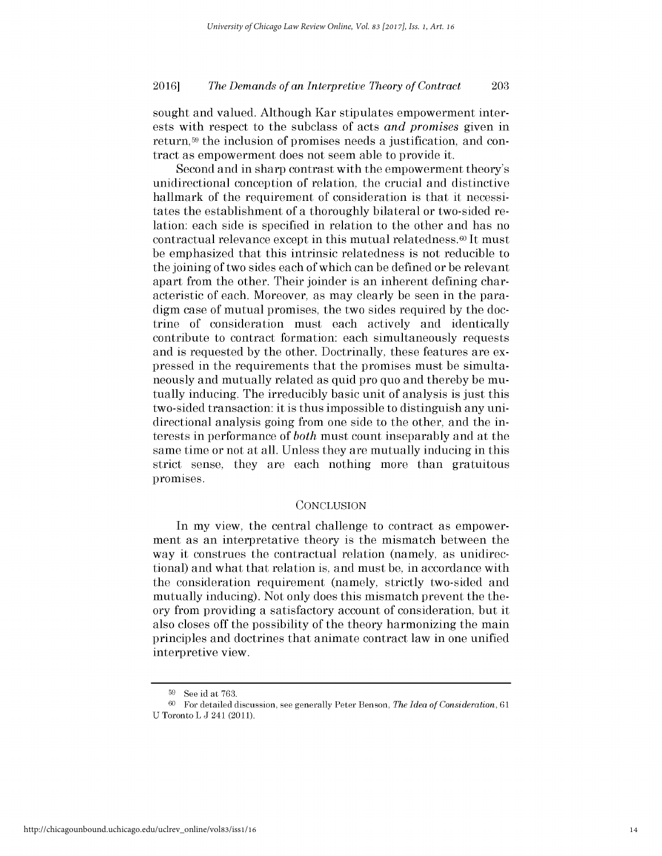sought and valued. Although Kar stipulates empowerment interests with respect to the subclass of acts *and promises* given in return,<sup>59</sup> the inclusion of promises needs a justification, and contract as empowerment does not seem able to provide it.

Second and in sharp contrast with the empowerment theory's unidirectional conception of relation, the crucial and distinctive hallmark of the requirement of consideration is that it necessitates the establishment of a thoroughly bilateral or two-sided relation: each side is specified in relation to the other and has no contractual relevance except in this mutual relatedness.<sup> $\omega$ </sup> It must be emphasized that this intrinsic relatedness is not reducible to the joining of two sides each of which can be defined or be relevant apart from the other. Their joinder is an inherent defining characteristic of each. Moreover, as may clearly be seen in the paradigm case of mutual promises, the two sides required **by** the doctrine of consideration must each actively and identically contribute to contract formation: each simultaneously requests and is requested **by** the other. Doctrinally, these features are expressed in the requirements that the promises must be simultaneously and mutually related as quid pro quo and thereby be mutually inducing. The irreducibly basic unit of analysis is just this two-sided transaction: it is thus impossible to distinguish any unidirectional analysis going from one side to the other, and the interests in performance of *both* must count inseparably and at the same time or not at all. Unless they are mutually inducing in this strict sense, they are each nothing more than gratuitous promises.

### **CONCLUSION**

In my view, the central challenge to contract as empowerment as an interpretative theory is the mismatch between the way it construes the contractual relation (namely, as unidirectional) and what that relation is, and must be, in accordance with the consideration requirement (namely, strictly two-sided and mutually inducing). Not only does this mismatch prevent the theory from providing a satisfactory account of consideration, but it also closes off the possibility of the theory harmonizing the main principles and doctrines that animate contract law in one unified interpretive view.

**<sup>59</sup>**See id at **763.**

**<sup>60</sup>**For detailed discussion, see generally Peter Benson, *The Idea of Consideration, 61* **U** Toronto L **J** 241 **(2011).**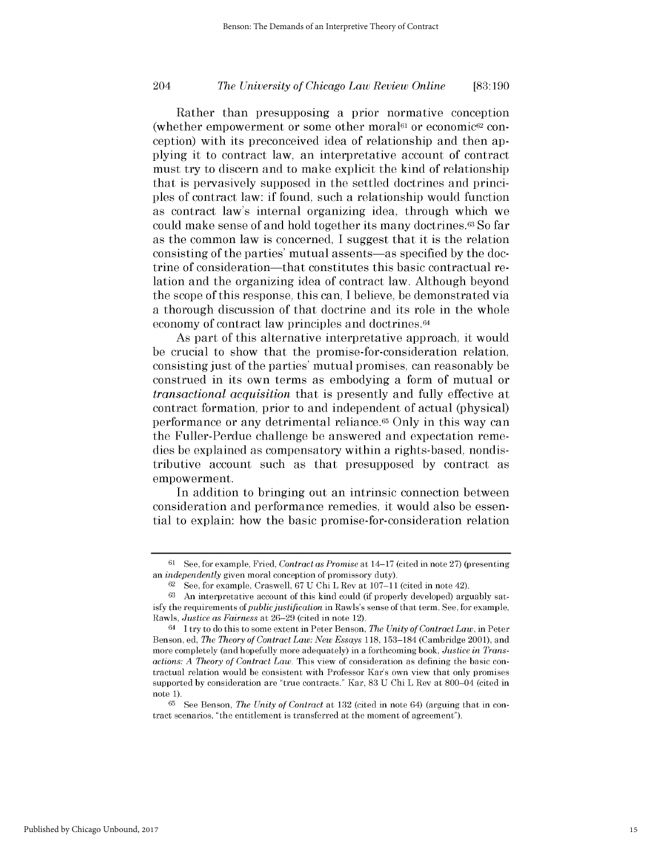# *The University of Chicago Law Review Online* 204 **[83:190**

Rather than presupposing a prior normative conception (whether empowerment or some other moral6l or economic62 conception) with its preconceived idea of relationship and then applying it to contract law, an interpretative account of contract must try to discern and to make explicit the kind of relationship that is pervasively supposed in the settled doctrines and principles of contract law: **if** found, such a relationship would function as contract law's internal organizing idea, through which we could make sense of and hold together its many doctrines.63 So far as the common law is concerned, **I** suggest that it is the relation consisting of the parties' mutual assents-as specified **by** the doctrine of consideration-that constitutes this basic contractual relation and the organizing idea of contract law. Although beyond the scope of this response, this can, **I** believe, be demonstrated via a thorough discussion of that doctrine and its role in the whole economy of contract law principles and doctrines.64

As part of this alternative interpretative approach, it would be crucial to show that the promise-for-consideration relation, consisting just of the parties' mutual promises, can reasonably be construed in its own terms as embodying a form of mutual or *transactional acquisition that* is presently and fully effective at contract formation, prior to and independent of actual (physical) performance or any detrimental reliance.65 Only in this way can the Fuller-Perdue challenge be answered and expectation remedies be explained as compensatory within a rights-based, nondistributive account such as that presupposed **by** contract as empowerment.

In addition to bringing out an intrinsic connection between consideration and performance remedies, it would also be essential to explain: how the basic promise-for-consideration relation

**<sup>61</sup>**See, for example, Fried, *Contract as Promise* at 14-17 (cited in note **27)** (presenting *an independently* given moral conception of promissory duty).

**<sup>62</sup>**See, for example, Craswell, **67 U** Chi L Rev at **107-11** (cited in note 42).

**<sup>63</sup>** An interpretative account of this kind could (if properly developed) arguably satisfy the requirements of *public justification* in Rawls's sense of that term. **See,** for example, Rawls, *Justice as Fairness* at **26-29** (cited in note 12).

<sup>64</sup>I try to do this to some extent in Peter Benson, *The Unity of Contract Law,* in Peter Benson, **ed,** *The Theory of Contract Law: New Essays* **118, 153-184** (Cambridge 2001), and more completely (and hopefully more adequately) in a forthcoming book, *Justice in Transactions: A Theory of Contract Law.* This view of consideration as defining the basic contractual relation would **be** consistent with Professor Kar's own view that only promises supported **by** consideration are "true contracts." Kar, **83 U** Chi L Rev at 800-04 (cited in note **1).**

**<sup>65</sup>** See Benson, *The Unity of Contract* at **132** (cited in note 64) (arguing that in contract scenarios, "the entitlement is transferred at the moment of agreement").